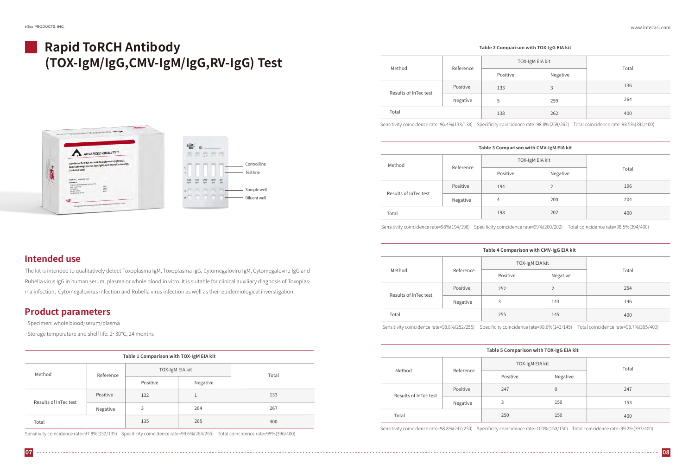# **Rapid ToRCH Antibody (TOX-IgM/IgG,CMV-IgM/IgG,RV-IgG) Test**



### **Intended use**

The kit is intended to qualitatively detect Toxoplasma IgM, Toxoplasma IgG, Cytomegaloviru IgM, Cytomegaloviru IgG and Rubella virus IgG in human serum, plasma or whole blood in vitro. It is suitable for clinical auxiliary diagnosis of Toxoplasma infection, Cytomegalovirus infection and Rubella virus infection as well as their epidemiological inverstigation.

### **Product parameters**

·Specimen: whole blood/serum/plasma

·Storage temperature and shelf life: 2~30℃, 24 months

| Table 1 Comparison with TOX-IgM EIA kit |           |                 |          |       |  |
|-----------------------------------------|-----------|-----------------|----------|-------|--|
| Method                                  | Reference | TOX-IgM EIA kit |          | Total |  |
|                                         |           | Positive        | Negative |       |  |
| Results of InTec test                   | Positive  | 132             |          | 133   |  |
|                                         | Negative  | 3               | 264      | 267   |  |
| Total                                   |           | 135             | 265      | 400   |  |

Sensitivity coincidence rate=97.8%(132/135) Specificity coincidence rate=99.6%(264/265) Total coincidence rate=99%(396/400)

| Table 3 Comparison with CMV-IgM EIA kit |           |                 |          |       |  |
|-----------------------------------------|-----------|-----------------|----------|-------|--|
| Method                                  | Reference | TOX-IgM EIA kit |          |       |  |
|                                         |           | Positive        | Negative | Total |  |
| Results of InTec test                   | Positive  | 194             | 2        | 196   |  |
|                                         | Negative  | $\overline{4}$  | 200      | 204   |  |
| Total                                   |           | 198             | 202      | 400   |  |

Sensitivity coincidence rate=98%(194/198) Specificity coincidence rate=99%(200/202) Total coincidence rate=98.5%(394/400)

### Method Results of InTec test Total Reference in the contract of the contract of the contract of the contract of the contract of the contract of the contract of the contract of the contract of the contract of the contract of the contract of the contract of t  $TO<sub>2</sub>$ Positive Negative Positive 133 5 138 Negative 3 259 262 **Table 2 Comparison with TOX-IgG EIA kit**

| <-IgM EIA kit | Total |  |
|---------------|-------|--|
| Negative      |       |  |
| 3             | 136   |  |
| 259           | 264   |  |
| 262           | 400   |  |
|               |       |  |

Sensitivity coincidence rate=96.4%(133/138) Specificity coincidence rate=98.8%(259/262) Total coincidence rate=98.5%(392/400)

| Method                | Reference | TOX-IgM EIA kit |          |       |  |
|-----------------------|-----------|-----------------|----------|-------|--|
|                       |           | Positive        | Negative | Total |  |
| Results of InTec test | Positive  | 252             | 2        | 254   |  |
|                       | Negative  | 3               | 143      | 146   |  |
| Total                 |           | 255             | 145      | 400   |  |

### **Table 4 Comparison with CMV-IgG EIA kit**

Sensitivity coincidence rate=98.8%(252/255) Specificity coincidence rate=98.6%(143/145) Total coincidence rate=98.7%(395/400)

| Table 5 Comparison with TOX-IgG EIA kit |           |                 |                |       |  |
|-----------------------------------------|-----------|-----------------|----------------|-------|--|
| Method                                  | Reference | TOX-IgM EIA kit |                | Total |  |
|                                         |           | Positive        | Negative       |       |  |
| Results of InTec test                   | Positive  | 247             | $\overline{0}$ | 247   |  |
|                                         | Negative  | 3               | 150            | 153   |  |
| Total                                   |           | 250             | 150            | 400   |  |

Sensitivity coincidence rate=98.8%(247/250) Specificity coincidence rate=100%(150/150) Total coincidence rate=99.2%(397/400)